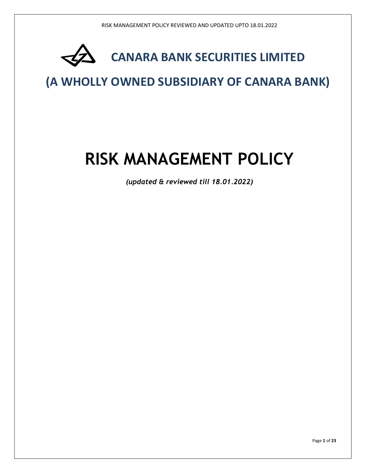

## (A WHOLLY OWNED SUBSIDIARY OF CANARA BANK)

# RISK MANAGEMENT POLICY

(updated & reviewed till 18.01.2022)

Page 1 of 23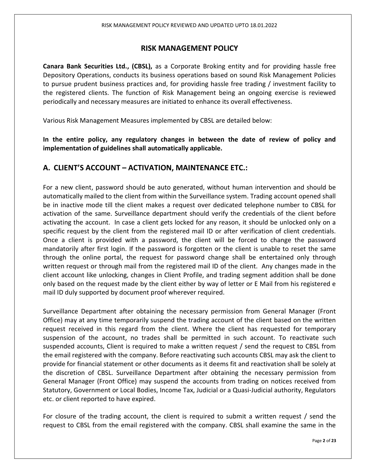## RISK MANAGEMENT POLICY

Canara Bank Securities Ltd., (CBSL), as a Corporate Broking entity and for providing hassle free Depository Operations, conducts its business operations based on sound Risk Management Policies to pursue prudent business practices and, for providing hassle free trading / investment facility to the registered clients. The function of Risk Management being an ongoing exercise is reviewed periodically and necessary measures are initiated to enhance its overall effectiveness.

Various Risk Management Measures implemented by CBSL are detailed below:

In the entire policy, any regulatory changes in between the date of review of policy and implementation of guidelines shall automatically applicable.

## A. CLIENT'S ACCOUNT – ACTIVATION, MAINTENANCE ETC.:

For a new client, password should be auto generated, without human intervention and should be automatically mailed to the client from within the Surveillance system. Trading account opened shall be in inactive mode till the client makes a request over dedicated telephone number to CBSL for activation of the same. Surveillance department should verify the credentials of the client before activating the account. In case a client gets locked for any reason, it should be unlocked only on a specific request by the client from the registered mail ID or after verification of client credentials. Once a client is provided with a password, the client will be forced to change the password mandatorily after first login. If the password is forgotten or the client is unable to reset the same through the online portal, the request for password change shall be entertained only through written request or through mail from the registered mail ID of the client. Any changes made in the client account like unlocking, changes in Client Profile, and trading segment addition shall be done only based on the request made by the client either by way of letter or E Mail from his registered e mail ID duly supported by document proof wherever required.

Surveillance Department after obtaining the necessary permission from General Manager (Front Office) may at any time temporarily suspend the trading account of the client based on the written request received in this regard from the client. Where the client has requested for temporary suspension of the account, no trades shall be permitted in such account. To reactivate such suspended accounts, Client is required to make a written request / send the request to CBSL from the email registered with the company. Before reactivating such accounts CBSL may ask the client to provide for financial statement or other documents as it deems fit and reactivation shall be solely at the discretion of CBSL. Surveillance Department after obtaining the necessary permission from General Manager (Front Office) may suspend the accounts from trading on notices received from Statutory, Government or Local Bodies, Income Tax, Judicial or a Quasi-Judicial authority, Regulators etc. or client reported to have expired.

For closure of the trading account, the client is required to submit a written request / send the request to CBSL from the email registered with the company. CBSL shall examine the same in the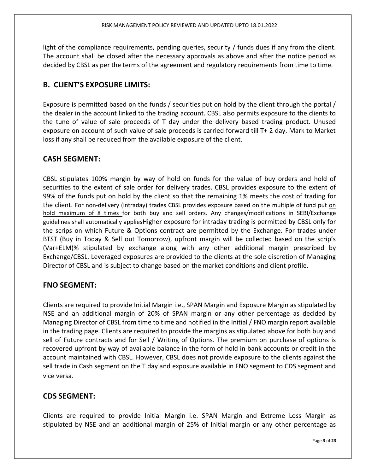light of the compliance requirements, pending queries, security / funds dues if any from the client. The account shall be closed after the necessary approvals as above and after the notice period as decided by CBSL as per the terms of the agreement and regulatory requirements from time to time.

## B. CLIENT'S EXPOSURE LIMITS:

Exposure is permitted based on the funds / securities put on hold by the client through the portal / the dealer in the account linked to the trading account. CBSL also permits exposure to the clients to the tune of value of sale proceeds of T day under the delivery based trading product. Unused exposure on account of such value of sale proceeds is carried forward till T+ 2 day. Mark to Market loss if any shall be reduced from the available exposure of the client.

## CASH SEGMENT:

CBSL stipulates 100% margin by way of hold on funds for the value of buy orders and hold of securities to the extent of sale order for delivery trades. CBSL provides exposure to the extent of 99% of the funds put on hold by the client so that the remaining 1% meets the cost of trading for the client. For non-delivery (intraday) trades CBSL provides exposure based on the multiple of fund put on hold maximum of 8 times for both buy and sell orders. Any changes/modifications in SEBI/Exchange guidelines shall automatically appliesHigher exposure for intraday trading is permitted by CBSL only for the scrips on which Future & Options contract are permitted by the Exchange. For trades under BTST (Buy in Today & Sell out Tomorrow), upfront margin will be collected based on the scrip's (Var+ELM)% stipulated by exchange along with any other additional margin prescribed by Exchange/CBSL. Leveraged exposures are provided to the clients at the sole discretion of Managing Director of CBSL and is subject to change based on the market conditions and client profile.

## FNO SEGMENT:

Clients are required to provide Initial Margin i.e., SPAN Margin and Exposure Margin as stipulated by NSE and an additional margin of 20% of SPAN margin or any other percentage as decided by Managing Director of CBSL from time to time and notified in the Initial / FNO margin report available in the trading page. Clients are required to provide the margins as stipulated above for both buy and sell of Future contracts and for Sell / Writing of Options. The premium on purchase of options is recovered upfront by way of available balance in the form of hold in bank accounts or credit in the account maintained with CBSL. However, CBSL does not provide exposure to the clients against the sell trade in Cash segment on the T day and exposure available in FNO segment to CDS segment and vice versa.

## CDS SEGMENT:

Clients are required to provide Initial Margin i.e. SPAN Margin and Extreme Loss Margin as stipulated by NSE and an additional margin of 25% of Initial margin or any other percentage as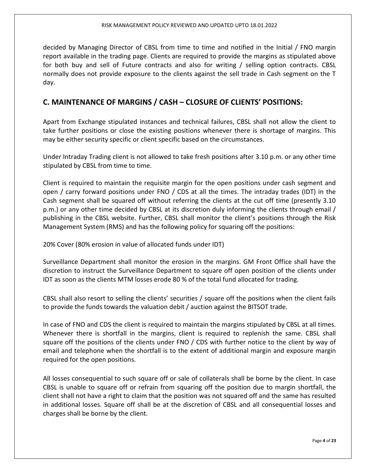decided by Managing Director of CBSL from time to time and notified in the Initial / FNO margin report available in the trading page. Clients are required to provide the margins as stipulated above for both buy and sell of Future contracts and also for writing / selling option contracts. CBSL normally does not provide exposure to the clients against the sell trade in Cash segment on the T day.

## C. MAINTENANCE OF MARGINS / CASH – CLOSURE OF CLIENTS' POSITIONS:

Apart from Exchange stipulated instances and technical failures, CBSL shall not allow the client to take further positions or close the existing positions whenever there is shortage of margins. This may be either security specific or client specific based on the circumstances.

Under Intraday Trading client is not allowed to take fresh positions after 3.10 p.m. or any other time stipulated by CBSL from time to time.

Client is required to maintain the requisite margin for the open positions under cash segment and open / carry forward positions under FNO / CDS at all the times. The intraday trades (IDT) in the Cash segment shall be squared off without referring the clients at the cut off time (presently 3.10 p.m.) or any other time decided by CBSL at its discretion duly informing the clients through email / publishing in the CBSL website. Further, CBSL shall monitor the client's positions through the Risk Management System (RMS) and has the following policy for squaring off the positions:

20% Cover (80% erosion in value of allocated funds under IDT)

Surveillance Department shall monitor the erosion in the margins. GM Front Office shall have the discretion to instruct the Surveillance Department to square off open position of the clients under IDT as soon as the clients MTM losses erode 80 % of the total fund allocated for trading.

CBSL shall also resort to selling the clients' securities / square off the positions when the client fails to provide the funds towards the valuation debit / auction against the BITSOT trade.

In case of FNO and CDS the client is required to maintain the margins stipulated by CBSL at all times. Whenever there is shortfall in the margins, client is required to replenish the same. CBSL shall square off the positions of the clients under FNO / CDS with further notice to the client by way of email and telephone when the shortfall is to the extent of additional margin and exposure margin required for the open positions.

All losses consequential to such square off or sale of collaterals shall be borne by the client. In case CBSL is unable to square off or refrain from squaring off the position due to margin shortfall, the client shall not have a right to claim that the position was not squared off and the same has resulted in additional losses. Square off shall be at the discretion of CBSL and all consequential losses and charges shall be borne by the client.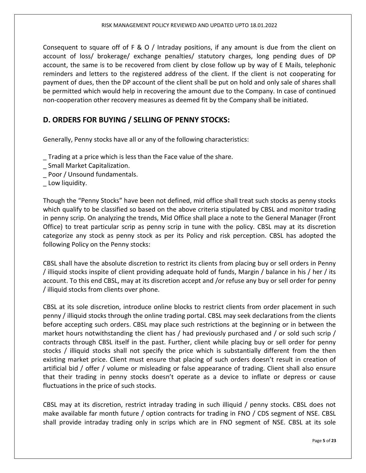Consequent to square off of F & O / Intraday positions, if any amount is due from the client on account of loss/ brokerage/ exchange penalties/ statutory charges, long pending dues of DP account, the same is to be recovered from client by close follow up by way of E Mails, telephonic reminders and letters to the registered address of the client. If the client is not cooperating for payment of dues, then the DP account of the client shall be put on hold and only sale of shares shall be permitted which would help in recovering the amount due to the Company. In case of continued non-cooperation other recovery measures as deemed fit by the Company shall be initiated.

## D. ORDERS FOR BUYING / SELLING OF PENNY STOCKS:

Generally, Penny stocks have all or any of the following characteristics:

- \_ Trading at a price which is less than the Face value of the share.
- \_ Small Market Capitalization.
- Poor / Unsound fundamentals.
- Low liquidity.

Though the "Penny Stocks" have been not defined, mid office shall treat such stocks as penny stocks which qualify to be classified so based on the above criteria stipulated by CBSL and monitor trading in penny scrip. On analyzing the trends, Mid Office shall place a note to the General Manager (Front Office) to treat particular scrip as penny scrip in tune with the policy. CBSL may at its discretion categorize any stock as penny stock as per its Policy and risk perception. CBSL has adopted the following Policy on the Penny stocks:

CBSL shall have the absolute discretion to restrict its clients from placing buy or sell orders in Penny / illiquid stocks inspite of client providing adequate hold of funds, Margin / balance in his / her / its account. To this end CBSL, may at its discretion accept and /or refuse any buy or sell order for penny / illiquid stocks from clients over phone.

CBSL at its sole discretion, introduce online blocks to restrict clients from order placement in such penny / illiquid stocks through the online trading portal. CBSL may seek declarations from the clients before accepting such orders. CBSL may place such restrictions at the beginning or in between the market hours notwithstanding the client has / had previously purchased and / or sold such scrip / contracts through CBSL itself in the past. Further, client while placing buy or sell order for penny stocks / illiquid stocks shall not specify the price which is substantially different from the then existing market price. Client must ensure that placing of such orders doesn't result in creation of artificial bid / offer / volume or misleading or false appearance of trading. Client shall also ensure that their trading in penny stocks doesn't operate as a device to inflate or depress or cause fluctuations in the price of such stocks.

CBSL may at its discretion, restrict intraday trading in such illiquid / penny stocks. CBSL does not make available far month future / option contracts for trading in FNO / CDS segment of NSE. CBSL shall provide intraday trading only in scrips which are in FNO segment of NSE. CBSL at its sole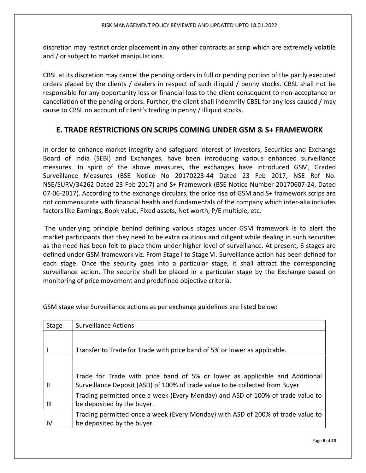discretion may restrict order placement in any other contracts or scrip which are extremely volatile and / or subject to market manipulations.

CBSL at its discretion may cancel the pending orders in full or pending portion of the partly executed orders placed by the clients / dealers in respect of such illiquid / penny stocks. CBSL shall not be responsible for any opportunity loss or financial loss to the client consequent to non-acceptance or cancellation of the pending orders. Further, the client shall indemnify CBSL for any loss caused / may cause to CBSL on account of client's trading in penny / illiquid stocks.

## E. TRADE RESTRICTIONS ON SCRIPS COMING UNDER GSM & S+ FRAMEWORK

In order to enhance market integrity and safeguard interest of investors, Securities and Exchange Board of India (SEBI) and Exchanges, have been introducing various enhanced surveillance measures. In spirit of the above measures, the exchanges have introduced GSM, Graded Surveillance Measures (BSE Notice No 20170223-44 Dated 23 Feb 2017, NSE Ref No. NSE/SURV/34262 Dated 23 Feb 2017) and S+ Framework (BSE Notice Number 20170607-24, Dated 07-06-2017). According to the exchange circulars, the price rise of GSM and S+ framework scrips are not commensurate with financial health and fundamentals of the company which inter-alia includes factors like Earnings, Book value, Fixed assets, Net worth, P/E multiple, etc.

 The underlying principle behind defining various stages under GSM framework is to alert the market participants that they need to be extra cautious and diligent while dealing in such securities as the need has been felt to place them under higher level of surveillance. At present, 6 stages are defined under GSM framework viz. From Stage I to Stage VI. Surveillance action has been defined for each stage. Once the security goes into a particular stage, it shall attract the corresponding surveillance action. The security shall be placed in a particular stage by the Exchange based on monitoring of price movement and predefined objective criteria.

| Stage        | <b>Surveillance Actions</b>                                                     |
|--------------|---------------------------------------------------------------------------------|
|              |                                                                                 |
|              | Transfer to Trade for Trade with price band of 5% or lower as applicable.       |
|              |                                                                                 |
|              | Trade for Trade with price band of 5% or lower as applicable and Additional     |
| $\mathbf{I}$ | Surveillance Deposit (ASD) of 100% of trade value to be collected from Buyer.   |
|              | Trading permitted once a week (Every Monday) and ASD of 100% of trade value to  |
| Ш            | be deposited by the buyer.                                                      |
|              | Trading permitted once a week (Every Monday) with ASD of 200% of trade value to |
| -lv          | be deposited by the buyer.                                                      |

GSM stage wise Surveillance actions as per exchange guidelines are listed below: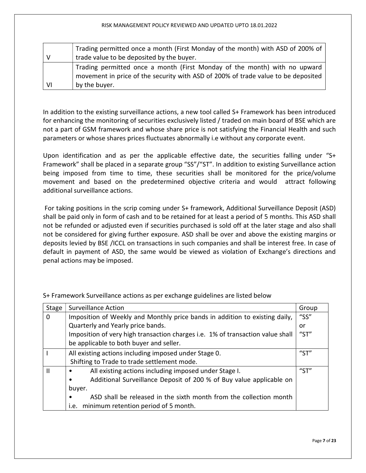|    | Trading permitted once a month (First Monday of the month) with ASD of 200% of    |  |  |  |  |
|----|-----------------------------------------------------------------------------------|--|--|--|--|
|    | trade value to be deposited by the buyer.                                         |  |  |  |  |
|    | Trading permitted once a month (First Monday of the month) with no upward         |  |  |  |  |
|    | movement in price of the security with ASD of 200% of trade value to be deposited |  |  |  |  |
| VI | by the buyer.                                                                     |  |  |  |  |

In addition to the existing surveillance actions, a new tool called S+ Framework has been introduced for enhancing the monitoring of securities exclusively listed / traded on main board of BSE which are not a part of GSM framework and whose share price is not satisfying the Financial Health and such parameters or whose shares prices fluctuates abnormally i.e without any corporate event.

Upon identification and as per the applicable effective date, the securities falling under "S+ Framework" shall be placed in a separate group "SS"/"ST". In addition to existing Surveillance action being imposed from time to time, these securities shall be monitored for the price/volume movement and based on the predetermined objective criteria and would attract following additional surveillance actions.

 For taking positions in the scrip coming under S+ framework, Additional Surveillance Deposit (ASD) shall be paid only in form of cash and to be retained for at least a period of 5 months. This ASD shall not be refunded or adjusted even if securities purchased is sold off at the later stage and also shall not be considered for giving further exposure. ASD shall be over and above the existing margins or deposits levied by BSE /ICCL on transactions in such companies and shall be interest free. In case of default in payment of ASD, the same would be viewed as violation of Exchange's directions and penal actions may be imposed.

| Stage | <b>Surveillance Action</b>                                                       |      |  |  |
|-------|----------------------------------------------------------------------------------|------|--|--|
| 0     | Imposition of Weekly and Monthly price bands in addition to existing daily,      |      |  |  |
|       | Quarterly and Yearly price bands.                                                |      |  |  |
|       | Imposition of very high transaction charges i.e. 1% of transaction value shall   |      |  |  |
|       | be applicable to both buyer and seller.                                          |      |  |  |
|       | All existing actions including imposed under Stage 0.                            |      |  |  |
|       | Shifting to Trade to trade settlement mode.                                      |      |  |  |
| Ш     | All existing actions including imposed under Stage I.<br>$\bullet$               | "ST" |  |  |
|       | Additional Surveillance Deposit of 200 % of Buy value applicable on<br>$\bullet$ |      |  |  |
|       | buyer.                                                                           |      |  |  |
|       | ASD shall be released in the sixth month from the collection month<br>٠          |      |  |  |
|       | i.e. minimum retention period of 5 month.                                        |      |  |  |

S+ Framework Surveillance actions as per exchange guidelines are listed below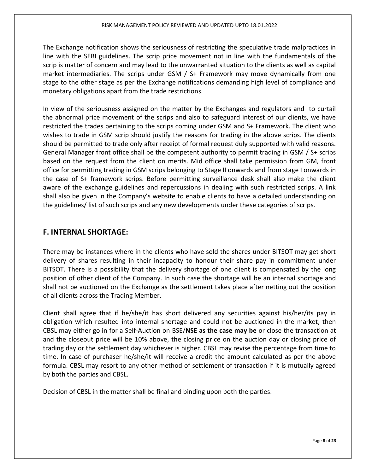The Exchange notification shows the seriousness of restricting the speculative trade malpractices in line with the SEBI guidelines. The scrip price movement not in line with the fundamentals of the scrip is matter of concern and may lead to the unwarranted situation to the clients as well as capital market intermediaries. The scrips under GSM / S+ Framework may move dynamically from one stage to the other stage as per the Exchange notifications demanding high level of compliance and monetary obligations apart from the trade restrictions.

In view of the seriousness assigned on the matter by the Exchanges and regulators and to curtail the abnormal price movement of the scrips and also to safeguard interest of our clients, we have restricted the trades pertaining to the scrips coming under GSM and S+ Framework. The client who wishes to trade in GSM scrip should justify the reasons for trading in the above scrips. The clients should be permitted to trade only after receipt of formal request duly supported with valid reasons. General Manager front office shall be the competent authority to permit trading in GSM / S+ scrips based on the request from the client on merits. Mid office shall take permission from GM, front office for permitting trading in GSM scrips belonging to Stage II onwards and from stage I onwards in the case of S+ framework scrips. Before permitting surveillance desk shall also make the client aware of the exchange guidelines and repercussions in dealing with such restricted scrips. A link shall also be given in the Company's website to enable clients to have a detailed understanding on the guidelines/ list of such scrips and any new developments under these categories of scrips.

## F. INTERNAL SHORTAGE:

There may be instances where in the clients who have sold the shares under BITSOT may get short delivery of shares resulting in their incapacity to honour their share pay in commitment under BITSOT. There is a possibility that the delivery shortage of one client is compensated by the long position of other client of the Company. In such case the shortage will be an internal shortage and shall not be auctioned on the Exchange as the settlement takes place after netting out the position of all clients across the Trading Member.

Client shall agree that if he/she/it has short delivered any securities against his/her/its pay in obligation which resulted into internal shortage and could not be auctioned in the market, then CBSL may either go in for a Self-Auction on BSE/NSE as the case may be or close the transaction at and the closeout price will be 10% above, the closing price on the auction day or closing price of trading day or the settlement day whichever is higher. CBSL may revise the percentage from time to time. In case of purchaser he/she/it will receive a credit the amount calculated as per the above formula. CBSL may resort to any other method of settlement of transaction if it is mutually agreed by both the parties and CBSL.

Decision of CBSL in the matter shall be final and binding upon both the parties.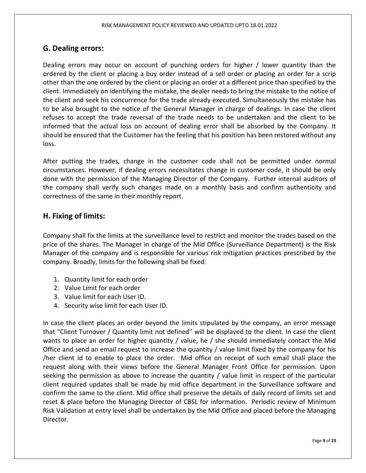## G. Dealing errors:

Dealing errors may occur on account of punching orders for higher / lower quantity than the ordered by the client or placing a buy order instead of a sell order or placing an order for a scrip other than the one ordered by the client or placing an order at a different price than specified by the client. Immediately on identifying the mistake, the dealer needs to bring the mistake to the notice of the client and seek his concurrence for the trade already executed. Simultaneously the mistake has to be also brought to the notice of the General Manager in charge of dealings. In case the client refuses to accept the trade reversal of the trade needs to be undertaken and the client to be informed that the actual loss on account of dealing error shall be absorbed by the Company. It should be ensured that the Customer has the feeling that his position has been restored without any loss.

After putting the trades, change in the customer code shall not be permitted under normal circumstances. However, if dealing errors necessitates change in customer code, it should be only done with the permission of the Managing Director of the Company. Further internal auditors of the company shall verify such changes made on a monthly basis and confirm authenticity and correctness of the same in their monthly report.

## H. Fixing of limits:

Company shall fix the limits at the surveillance level to restrict and monitor the trades based on the price of the shares. The Manager in charge of the Mid Office (Surveillance Department) is the Risk Manager of the company and is responsible for various risk mitigation practices prescribed by the company. Broadly, limits for the following shall be fixed:

- 1. Quantity limit for each order
- 2. Value Limit for each order
- 3. Value limit for each User ID.
- 4. Security wise limit for each User ID.

In case the client places an order beyond the limits stipulated by the company, an error message that "Client Turnover / Quantity limit not defined" will be displayed to the client. In case the client wants to place an order for higher quantity / value, he / she should immediately contact the Mid Office and send an email request to increase the quantity / value limit fixed by the company for his /her client id to enable to place the order. Mid office on receipt of such email shall place the request along with their views before the General Manager Front Office for permission. Upon seeking the permission as above to increase the quantity / value limit in respect of the particular client required updates shall be made by mid office department in the Surveillance software and confirm the same to the client. Mid office shall preserve the details of daily record of limits set and reset & place before the Managing Director of CBSL for information. Periodic review of Minimum Risk Validation at entry level shall be undertaken by the Mid Office and placed before the Managing Director.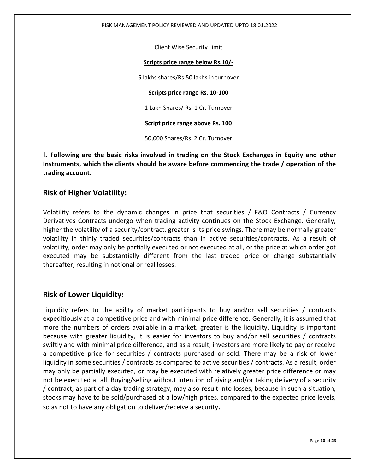#### RISK MANAGEMENT POLICY REVIEWED AND UPDATED UPTO 18.01.2022

#### Client Wise Security Limit

#### Scripts price range below Rs.10/-

5 lakhs shares/Rs.50 lakhs in turnover

#### Scripts price range Rs. 10-100

1 Lakh Shares/ Rs. 1 Cr. Turnover

#### Script price range above Rs. 100

50,000 Shares/Rs. 2 Cr. Turnover

I. Following are the basic risks involved in trading on the Stock Exchanges in Equity and other Instruments, which the clients should be aware before commencing the trade / operation of the trading account.

## Risk of Higher Volatility:

Volatility refers to the dynamic changes in price that securities / F&O Contracts / Currency Derivatives Contracts undergo when trading activity continues on the Stock Exchange. Generally, higher the volatility of a security/contract, greater is its price swings. There may be normally greater volatility in thinly traded securities/contracts than in active securities/contracts. As a result of volatility, order may only be partially executed or not executed at all, or the price at which order got executed may be substantially different from the last traded price or change substantially thereafter, resulting in notional or real losses.

## Risk of Lower Liquidity:

Liquidity refers to the ability of market participants to buy and/or sell securities / contracts expeditiously at a competitive price and with minimal price difference. Generally, it is assumed that more the numbers of orders available in a market, greater is the liquidity. Liquidity is important because with greater liquidity, it is easier for investors to buy and/or sell securities / contracts swiftly and with minimal price difference, and as a result, investors are more likely to pay or receive a competitive price for securities / contracts purchased or sold. There may be a risk of lower liquidity in some securities / contracts as compared to active securities / contracts. As a result, order may only be partially executed, or may be executed with relatively greater price difference or may not be executed at all. Buying/selling without intention of giving and/or taking delivery of a security / contract, as part of a day trading strategy, may also result into losses, because in such a situation, stocks may have to be sold/purchased at a low/high prices, compared to the expected price levels, so as not to have any obligation to deliver/receive a security.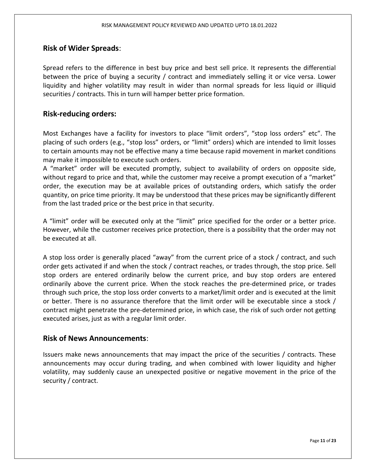## Risk of Wider Spreads:

Spread refers to the difference in best buy price and best sell price. It represents the differential between the price of buying a security / contract and immediately selling it or vice versa. Lower liquidity and higher volatility may result in wider than normal spreads for less liquid or illiquid securities / contracts. This in turn will hamper better price formation.

## Risk-reducing orders:

Most Exchanges have a facility for investors to place "limit orders", "stop loss orders" etc". The placing of such orders (e.g., "stop loss" orders, or "limit" orders) which are intended to limit losses to certain amounts may not be effective many a time because rapid movement in market conditions may make it impossible to execute such orders.

A "market" order will be executed promptly, subject to availability of orders on opposite side, without regard to price and that, while the customer may receive a prompt execution of a "market" order, the execution may be at available prices of outstanding orders, which satisfy the order quantity, on price time priority. It may be understood that these prices may be significantly different from the last traded price or the best price in that security.

A "limit" order will be executed only at the "limit" price specified for the order or a better price. However, while the customer receives price protection, there is a possibility that the order may not be executed at all.

A stop loss order is generally placed "away" from the current price of a stock / contract, and such order gets activated if and when the stock / contract reaches, or trades through, the stop price. Sell stop orders are entered ordinarily below the current price, and buy stop orders are entered ordinarily above the current price. When the stock reaches the pre-determined price, or trades through such price, the stop loss order converts to a market/limit order and is executed at the limit or better. There is no assurance therefore that the limit order will be executable since a stock / contract might penetrate the pre-determined price, in which case, the risk of such order not getting executed arises, just as with a regular limit order.

## Risk of News Announcements:

Issuers make news announcements that may impact the price of the securities / contracts. These announcements may occur during trading, and when combined with lower liquidity and higher volatility, may suddenly cause an unexpected positive or negative movement in the price of the security / contract.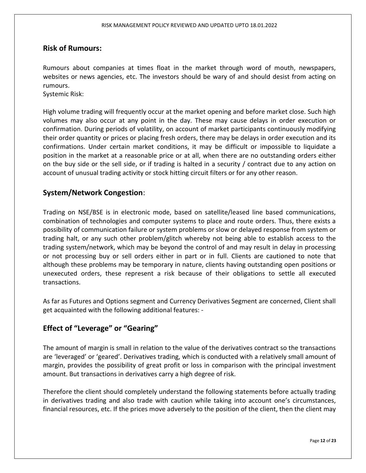## Risk of Rumours:

Rumours about companies at times float in the market through word of mouth, newspapers, websites or news agencies, etc. The investors should be wary of and should desist from acting on rumours.

Systemic Risk:

High volume trading will frequently occur at the market opening and before market close. Such high volumes may also occur at any point in the day. These may cause delays in order execution or confirmation. During periods of volatility, on account of market participants continuously modifying their order quantity or prices or placing fresh orders, there may be delays in order execution and its confirmations. Under certain market conditions, it may be difficult or impossible to liquidate a position in the market at a reasonable price or at all, when there are no outstanding orders either on the buy side or the sell side, or if trading is halted in a security / contract due to any action on account of unusual trading activity or stock hitting circuit filters or for any other reason.

## System/Network Congestion:

Trading on NSE/BSE is in electronic mode, based on satellite/leased line based communications, combination of technologies and computer systems to place and route orders. Thus, there exists a possibility of communication failure or system problems or slow or delayed response from system or trading halt, or any such other problem/glitch whereby not being able to establish access to the trading system/network, which may be beyond the control of and may result in delay in processing or not processing buy or sell orders either in part or in full. Clients are cautioned to note that although these problems may be temporary in nature, clients having outstanding open positions or unexecuted orders, these represent a risk because of their obligations to settle all executed transactions.

As far as Futures and Options segment and Currency Derivatives Segment are concerned, Client shall get acquainted with the following additional features: -

## Effect of "Leverage" or "Gearing"

The amount of margin is small in relation to the value of the derivatives contract so the transactions are 'leveraged' or 'geared'. Derivatives trading, which is conducted with a relatively small amount of margin, provides the possibility of great profit or loss in comparison with the principal investment amount. But transactions in derivatives carry a high degree of risk.

Therefore the client should completely understand the following statements before actually trading in derivatives trading and also trade with caution while taking into account one's circumstances, financial resources, etc. If the prices move adversely to the position of the client, then the client may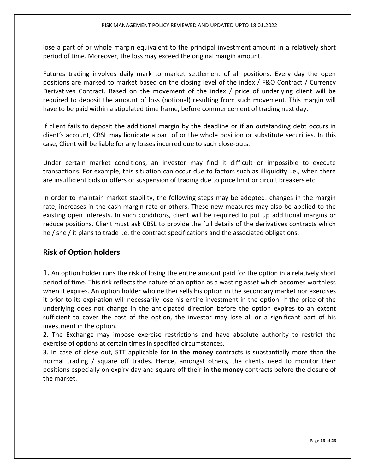lose a part of or whole margin equivalent to the principal investment amount in a relatively short period of time. Moreover, the loss may exceed the original margin amount.

Futures trading involves daily mark to market settlement of all positions. Every day the open positions are marked to market based on the closing level of the index / F&O Contract / Currency Derivatives Contract. Based on the movement of the index / price of underlying client will be required to deposit the amount of loss (notional) resulting from such movement. This margin will have to be paid within a stipulated time frame, before commencement of trading next day.

If client fails to deposit the additional margin by the deadline or if an outstanding debt occurs in client's account, CBSL may liquidate a part of or the whole position or substitute securities. In this case, Client will be liable for any losses incurred due to such close-outs.

Under certain market conditions, an investor may find it difficult or impossible to execute transactions. For example, this situation can occur due to factors such as illiquidity i.e., when there are insufficient bids or offers or suspension of trading due to price limit or circuit breakers etc.

In order to maintain market stability, the following steps may be adopted: changes in the margin rate, increases in the cash margin rate or others. These new measures may also be applied to the existing open interests. In such conditions, client will be required to put up additional margins or reduce positions. Client must ask CBSL to provide the full details of the derivatives contracts which he / she / it plans to trade i.e. the contract specifications and the associated obligations.

## Risk of Option holders

1. An option holder runs the risk of losing the entire amount paid for the option in a relatively short period of time. This risk reflects the nature of an option as a wasting asset which becomes worthless when it expires. An option holder who neither sells his option in the secondary market nor exercises it prior to its expiration will necessarily lose his entire investment in the option. If the price of the underlying does not change in the anticipated direction before the option expires to an extent sufficient to cover the cost of the option, the investor may lose all or a significant part of his investment in the option.

2. The Exchange may impose exercise restrictions and have absolute authority to restrict the exercise of options at certain times in specified circumstances.

3. In case of close out, STT applicable for in the money contracts is substantially more than the normal trading / square off trades. Hence, amongst others, the clients need to monitor their positions especially on expiry day and square off their in the money contracts before the closure of the market.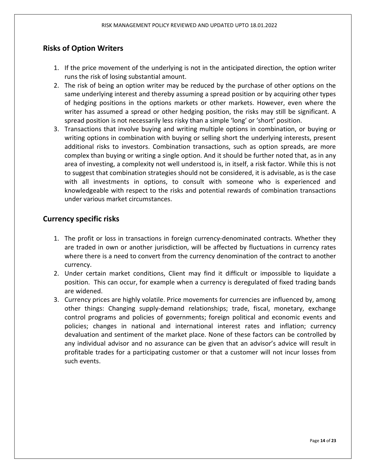## Risks of Option Writers

- 1. If the price movement of the underlying is not in the anticipated direction, the option writer runs the risk of losing substantial amount.
- 2. The risk of being an option writer may be reduced by the purchase of other options on the same underlying interest and thereby assuming a spread position or by acquiring other types of hedging positions in the options markets or other markets. However, even where the writer has assumed a spread or other hedging position, the risks may still be significant. A spread position is not necessarily less risky than a simple 'long' or 'short' position.
- 3. Transactions that involve buying and writing multiple options in combination, or buying or writing options in combination with buying or selling short the underlying interests, present additional risks to investors. Combination transactions, such as option spreads, are more complex than buying or writing a single option. And it should be further noted that, as in any area of investing, a complexity not well understood is, in itself, a risk factor. While this is not to suggest that combination strategies should not be considered, it is advisable, as is the case with all investments in options, to consult with someone who is experienced and knowledgeable with respect to the risks and potential rewards of combination transactions under various market circumstances.

## Currency specific risks

- 1. The profit or loss in transactions in foreign currency-denominated contracts. Whether they are traded in own or another jurisdiction, will be affected by fluctuations in currency rates where there is a need to convert from the currency denomination of the contract to another currency.
- 2. Under certain market conditions, Client may find it difficult or impossible to liquidate a position. This can occur, for example when a currency is deregulated of fixed trading bands are widened.
- 3. Currency prices are highly volatile. Price movements for currencies are influenced by, among other things: Changing supply-demand relationships; trade, fiscal, monetary, exchange control programs and policies of governments; foreign political and economic events and policies; changes in national and international interest rates and inflation; currency devaluation and sentiment of the market place. None of these factors can be controlled by any individual advisor and no assurance can be given that an advisor's advice will result in profitable trades for a participating customer or that a customer will not incur losses from such events.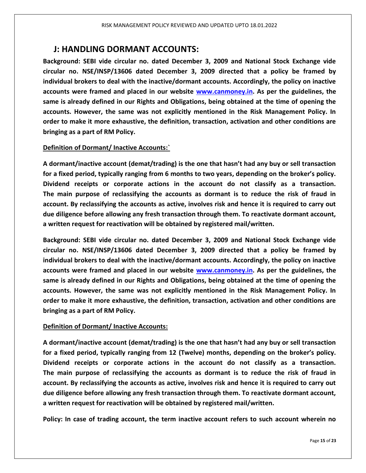## J: HANDLING DORMANT ACCOUNTS:

Background: SEBI vide circular no. dated December 3, 2009 and National Stock Exchange vide circular no. NSE/INSP/13606 dated December 3, 2009 directed that a policy be framed by individual brokers to deal with the inactive/dormant accounts. Accordingly, the policy on inactive accounts were framed and placed in our website www.canmoney.in. As per the guidelines, the same is already defined in our Rights and Obligations, being obtained at the time of opening the accounts. However, the same was not explicitly mentioned in the Risk Management Policy. In order to make it more exhaustive, the definition, transaction, activation and other conditions are bringing as a part of RM Policy.

## Definition of Dormant/ Inactive Accounts:

A dormant/inactive account (demat/trading) is the one that hasn't had any buy or sell transaction for a fixed period, typically ranging from 6 months to two years, depending on the broker's policy. Dividend receipts or corporate actions in the account do not classify as a transaction. The main purpose of reclassifying the accounts as dormant is to reduce the risk of fraud in account. By reclassifying the accounts as active, involves risk and hence it is required to carry out due diligence before allowing any fresh transaction through them. To reactivate dormant account, a written request for reactivation will be obtained by registered mail/written.

Background: SEBI vide circular no. dated December 3, 2009 and National Stock Exchange vide circular no. NSE/INSP/13606 dated December 3, 2009 directed that a policy be framed by individual brokers to deal with the inactive/dormant accounts. Accordingly, the policy on inactive accounts were framed and placed in our website www.canmoney.in. As per the guidelines, the same is already defined in our Rights and Obligations, being obtained at the time of opening the accounts. However, the same was not explicitly mentioned in the Risk Management Policy. In order to make it more exhaustive, the definition, transaction, activation and other conditions are bringing as a part of RM Policy.

## Definition of Dormant/ Inactive Accounts:

A dormant/inactive account (demat/trading) is the one that hasn't had any buy or sell transaction for a fixed period, typically ranging from 12 (Twelve) months, depending on the broker's policy. Dividend receipts or corporate actions in the account do not classify as a transaction. The main purpose of reclassifying the accounts as dormant is to reduce the risk of fraud in account. By reclassifying the accounts as active, involves risk and hence it is required to carry out due diligence before allowing any fresh transaction through them. To reactivate dormant account, a written request for reactivation will be obtained by registered mail/written.

Policy: In case of trading account, the term inactive account refers to such account wherein no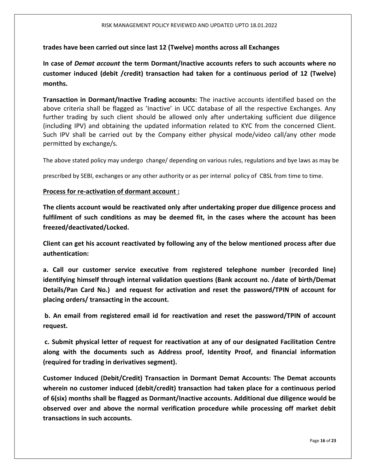#### trades have been carried out since last 12 (Twelve) months across all Exchanges

In case of Demat account the term Dormant/Inactive accounts refers to such accounts where no customer induced (debit /credit) transaction had taken for a continuous period of 12 (Twelve) months.

Transaction in Dormant/Inactive Trading accounts: The inactive accounts identified based on the above criteria shall be flagged as 'Inactive' in UCC database of all the respective Exchanges. Any further trading by such client should be allowed only after undertaking sufficient due diligence (including IPV) and obtaining the updated information related to KYC from the concerned Client. Such IPV shall be carried out by the Company either physical mode/video call/any other mode permitted by exchange/s.

The above stated policy may undergo change/ depending on various rules, regulations and bye laws as may be

prescribed by SEBI, exchanges or any other authority or as per internal policy of CBSL from time to time.

#### Process for re-activation of dormant account :

The clients account would be reactivated only after undertaking proper due diligence process and fulfilment of such conditions as may be deemed fit, in the cases where the account has been freezed/deactivated/Locked.

Client can get his account reactivated by following any of the below mentioned process after due authentication:

a. Call our customer service executive from registered telephone number (recorded line) identifying himself through internal validation questions (Bank account no. /date of birth/Demat Details/Pan Card No.) and request for activation and reset the password/TPIN of account for placing orders/ transacting in the account.

 b. An email from registered email id for reactivation and reset the password/TPIN of account request.

 c. Submit physical letter of request for reactivation at any of our designated Facilitation Centre along with the documents such as Address proof, Identity Proof, and financial information (required for trading in derivatives segment).

Customer Induced (Debit/Credit) Transaction in Dormant Demat Accounts: The Demat accounts wherein no customer induced (debit/credit) transaction had taken place for a continuous period of 6(six) months shall be flagged as Dormant/Inactive accounts. Additional due diligence would be observed over and above the normal verification procedure while processing off market debit transactions in such accounts.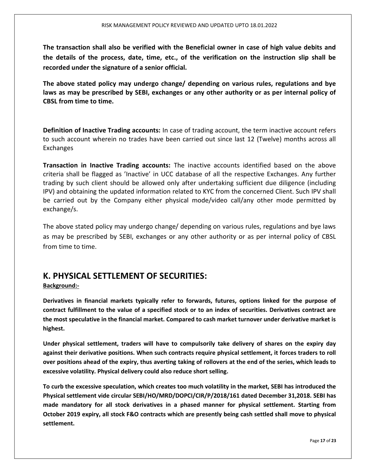The transaction shall also be verified with the Beneficial owner in case of high value debits and the details of the process, date, time, etc., of the verification on the instruction slip shall be recorded under the signature of a senior official.

The above stated policy may undergo change/ depending on various rules, regulations and bye laws as may be prescribed by SEBI, exchanges or any other authority or as per internal policy of CBSL from time to time.

Definition of Inactive Trading accounts: In case of trading account, the term inactive account refers to such account wherein no trades have been carried out since last 12 (Twelve) months across all Exchanges

Transaction in Inactive Trading accounts: The inactive accounts identified based on the above criteria shall be flagged as 'Inactive' in UCC database of all the respective Exchanges. Any further trading by such client should be allowed only after undertaking sufficient due diligence (including IPV) and obtaining the updated information related to KYC from the concerned Client. Such IPV shall be carried out by the Company either physical mode/video call/any other mode permitted by exchange/s.

The above stated policy may undergo change/ depending on various rules, regulations and bye laws as may be prescribed by SEBI, exchanges or any other authority or as per internal policy of CBSL from time to time.

## K. PHYSICAL SETTLEMENT OF SECURITIES:

#### Background:-

Derivatives in financial markets typically refer to forwards, futures, options linked for the purpose of contract fulfillment to the value of a specified stock or to an index of securities. Derivatives contract are the most speculative in the financial market. Compared to cash market turnover under derivative market is highest.

Under physical settlement, traders will have to compulsorily take delivery of shares on the expiry day against their derivative positions. When such contracts require physical settlement, it forces traders to roll over positions ahead of the expiry, thus averting taking of rollovers at the end of the series, which leads to excessive volatility. Physical delivery could also reduce short selling.

To curb the excessive speculation, which creates too much volatility in the market, SEBI has introduced the Physical settlement vide circular SEBI/HO/MRD/DOPCI/CIR/P/2018/161 dated December 31,2018. SEBI has made mandatory for all stock derivatives in a phased manner for physical settlement. Starting from October 2019 expiry, all stock F&O contracts which are presently being cash settled shall move to physical settlement.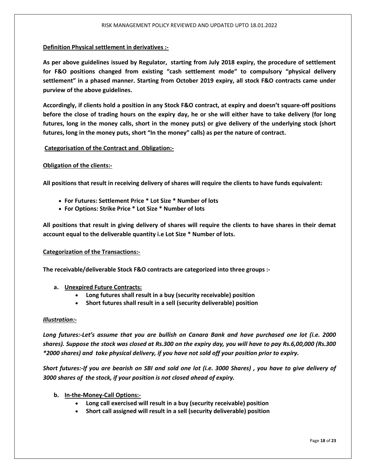#### Definition Physical settlement in derivatives :-

As per above guidelines issued by Regulator, starting from July 2018 expiry, the procedure of settlement for F&O positions changed from existing "cash settlement mode" to compulsory "physical delivery settlement" in a phased manner. Starting from October 2019 expiry, all stock F&O contracts came under purview of the above guidelines.

Accordingly, if clients hold a position in any Stock F&O contract, at expiry and doesn't square-off positions before the close of trading hours on the expiry day, he or she will either have to take delivery (for long futures, long in the money calls, short in the money puts) or give delivery of the underlying stock (short futures, long in the money puts, short "In the money" calls) as per the nature of contract.

#### Categorisation of the Contract and Obligation:-

#### Obligation of the clients:-

All positions that result in receiving delivery of shares will require the clients to have funds equivalent:

- For Futures: Settlement Price \* Lot Size \* Number of lots
- For Options: Strike Price \* Lot Size \* Number of lots

All positions that result in giving delivery of shares will require the clients to have shares in their demat account equal to the deliverable quantity i.e Lot Size \* Number of lots.

#### Categorization of the Transactions:-

The receivable/deliverable Stock F&O contracts are categorized into three groups :-

- a. Unexpired Future Contracts:
	- Long futures shall result in a buy (security receivable) position
	- Short futures shall result in a sell (security deliverable) position

#### Illustration:-

Long futures:-Let's assume that you are bullish on Canara Bank and have purchased one lot (i.e. 2000 shares). Suppose the stock was closed at Rs.300 on the expiry day, you will have to pay Rs.6,00,000 (Rs.300 \*2000 shares) and take physical delivery, if you have not sold off your position prior to expiry.

Short futures:-If you are bearish on SBI and sold one lot (i.e. 3000 Shares) , you have to give delivery of 3000 shares of the stock, if your position is not closed ahead of expiry.

- b. In-the-Money-Call Options:-
	- Long call exercised will result in a buy (security receivable) position
	- Short call assigned will result in a sell (security deliverable) position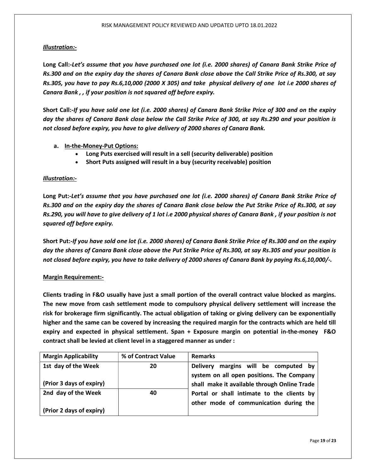#### Illustration:-

Long Call:-Let's assume that you have purchased one lot (i.e. 2000 shares) of Canara Bank Strike Price of Rs.300 and on the expiry day the shares of Canara Bank close above the Call Strike Price of Rs.300, at say Rs.305, you have to pay Rs.6,10,000 (2000 X 305) and take physical delivery of one lot i.e 2000 shares of Canara Bank , , if your position is not squared off before expiry.

Short Call:-If you have sold one lot (i.e. 2000 shares) of Canara Bank Strike Price of 300 and on the expiry day the shares of Canara Bank close below the Call Strike Price of 300, at say Rs.290 and your position is not closed before expiry, you have to give delivery of 2000 shares of Canara Bank.

- a. In-the-Money-Put Options:
	- Long Puts exercised will result in a sell (security deliverable) position
	- Short Puts assigned will result in a buy (security receivable) position

#### Illustration:-

Long Put:-Let's assume that you have purchased one lot (i.e. 2000 shares) of Canara Bank Strike Price of Rs.300 and on the expiry day the shares of Canara Bank close below the Put Strike Price of Rs.300, at say Rs.290, you will have to give delivery of 1 lot i.e 2000 physical shares of Canara Bank , if your position is not squared off before expiry.

Short Put:-If you have sold one lot (i.e. 2000 shares) of Canara Bank Strike Price of Rs.300 and on the expiry day the shares of Canara Bank close above the Put Strike Price of Rs.300, at say Rs.305 and your position is not closed before expiry, you have to take delivery of 2000 shares of Canara Bank by paying Rs.6,10,000/-.

#### Margin Requirement:-

Clients trading in F&O usually have just a small portion of the overall contract value blocked as margins. The new move from cash settlement mode to compulsory physical delivery settlement will increase the risk for brokerage firm significantly. The actual obligation of taking or giving delivery can be exponentially higher and the same can be covered by increasing the required margin for the contracts which are held till expiry and expected in physical settlement. Span + Exposure margin on potential in-the-money F&O contract shall be levied at client level in a staggered manner as under :

| <b>Margin Applicability</b> | % of Contract Value | <b>Remarks</b>                                 |
|-----------------------------|---------------------|------------------------------------------------|
| 1st day of the Week         | 20                  | margins will be computed by<br><b>Delivery</b> |
|                             |                     | system on all open positions. The Company      |
| (Prior 3 days of expiry)    |                     | shall make it available through Online Trade   |
| 2nd day of the Week         | 40                  | Portal or shall intimate to the clients by     |
|                             |                     | other mode of communication during the         |
| (Prior 2 days of expiry)    |                     |                                                |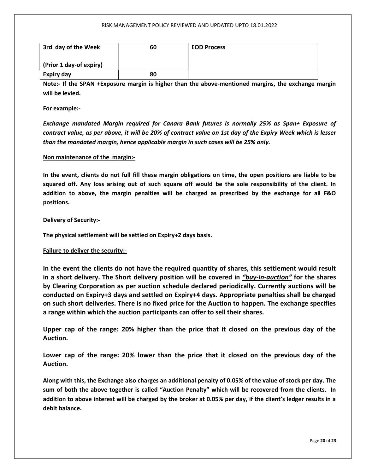#### RISK MANAGEMENT POLICY REVIEWED AND UPDATED UPTO 18.01.2022

| 3rd day of the Week     | 60 | <b>EOD Process</b> |
|-------------------------|----|--------------------|
| (Prior 1 day-of expiry) |    |                    |
| Expiry day              | 80 |                    |

Note:- If the SPAN +Exposure margin is higher than the above-mentioned margins, the exchange margin will be levied.

For example:-

Exchange mandated Margin required for Canara Bank futures is normally 25% as Span+ Exposure of contract value, as per above, it will be 20% of contract value on 1st day of the Expiry Week which is lesser than the mandated margin, hence applicable margin in such cases will be 25% only.

#### Non maintenance of the margin:-

In the event, clients do not full fill these margin obligations on time, the open positions are liable to be squared off. Any loss arising out of such square off would be the sole responsibility of the client. In addition to above, the margin penalties will be charged as prescribed by the exchange for all F&O positions.

#### Delivery of Security:-

The physical settlement will be settled on Expiry+2 days basis.

#### Failure to deliver the security:-

In the event the clients do not have the required quantity of shares, this settlement would result in a short delivery. The Short delivery position will be covered in "buy-in-auction" for the shares by Clearing Corporation as per auction schedule declared periodically. Currently auctions will be conducted on Expiry+3 days and settled on Expiry+4 days. Appropriate penalties shall be charged on such short deliveries. There is no fixed price for the Auction to happen. The exchange specifies a range within which the auction participants can offer to sell their shares.

Upper cap of the range: 20% higher than the price that it closed on the previous day of the Auction.

Lower cap of the range: 20% lower than the price that it closed on the previous day of the Auction.

Along with this, the Exchange also charges an additional penalty of 0.05% of the value of stock per day. The sum of both the above together is called "Auction Penalty" which will be recovered from the clients. In addition to above interest will be charged by the broker at 0.05% per day, if the client's ledger results in a debit balance.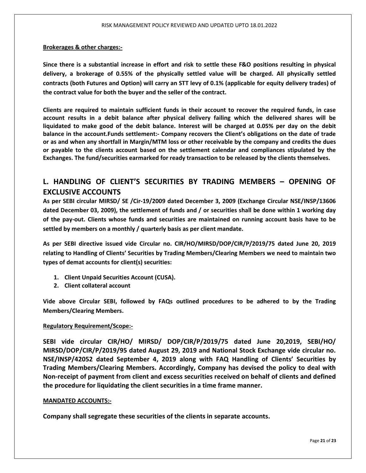#### Brokerages & other charges:-

Since there is a substantial increase in effort and risk to settle these F&O positions resulting in physical delivery, a brokerage of 0.55% of the physically settled value will be charged. All physically settled contracts (both Futures and Option) will carry an STT levy of 0.1% (applicable for equity delivery trades) of the contract value for both the buyer and the seller of the contract.

Clients are required to maintain sufficient funds in their account to recover the required funds, in case account results in a debit balance after physical delivery failing which the delivered shares will be liquidated to make good of the debit balance. Interest will be charged at 0.05% per day on the debit balance in the account.Funds settlement:- Company recovers the Client's obligations on the date of trade or as and when any shortfall in Margin/MTM loss or other receivable by the company and credits the dues or payable to the clients account based on the settlement calendar and compliances stipulated by the Exchanges. The fund/securities earmarked for ready transaction to be released by the clients themselves.

## L. HANDLING OF CLIENT'S SECURITIES BY TRADING MEMBERS – OPENING OF EXCLUSIVE ACCOUNTS

As per SEBI circular MIRSD/ SE /Cir-19/2009 dated December 3, 2009 (Exchange Circular NSE/INSP/13606 dated December 03, 2009), the settlement of funds and / or securities shall be done within 1 working day of the pay-out. Clients whose funds and securities are maintained on running account basis have to be settled by members on a monthly / quarterly basis as per client mandate.

As per SEBI directive issued vide Circular no. CIR/HO/MIRSD/DOP/CIR/P/2019/75 dated June 20, 2019 relating to Handling of Clients' Securities by Trading Members/Clearing Members we need to maintain two types of demat accounts for client(s) securities:

- 1. Client Unpaid Securities Account (CUSA).
- 2. Client collateral account

Vide above Circular SEBI, followed by FAQs outlined procedures to be adhered to by the Trading Members/Clearing Members.

#### Regulatory Requirement/Scope:-

SEBI vide circular CIR/HO/ MIRSD/ DOP/CIR/P/2019/75 dated June 20,2019, SEBI/HO/ MIRSD/DOP/CIR/P/2019/95 dated August 29, 2019 and National Stock Exchange vide circular no. NSE/INSP/42052 dated September 4, 2019 along with FAQ Handling of Clients' Securities by Trading Members/Clearing Members. Accordingly, Company has devised the policy to deal with Non-receipt of payment from client and excess securities received on behalf of clients and defined the procedure for liquidating the client securities in a time frame manner.

#### MANDATED ACCOUNTS:-

Company shall segregate these securities of the clients in separate accounts.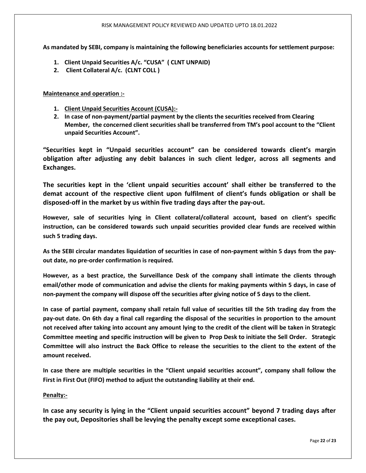#### RISK MANAGEMENT POLICY REVIEWED AND UPDATED UPTO 18.01.2022

As mandated by SEBI, company is maintaining the following beneficiaries accounts for settlement purpose:

- 1. Client Unpaid Securities A/c. "CUSA" ( CLNT UNPAID)
- 2. Client Collateral A/c. (CLNT COLL )

Maintenance and operation :-

- 1. Client Unpaid Securities Account (CUSA):-
- 2. In case of non-payment/partial payment by the clients the securities received from Clearing Member, the concerned client securities shall be transferred from TM's pool account to the "Client unpaid Securities Account".

"Securities kept in "Unpaid securities account" can be considered towards client's margin obligation after adjusting any debit balances in such client ledger, across all segments and Exchanges.

The securities kept in the 'client unpaid securities account' shall either be transferred to the demat account of the respective client upon fulfilment of client's funds obligation or shall be disposed-off in the market by us within five trading days after the pay-out.

However, sale of securities lying in Client collateral/collateral account, based on client's specific instruction, can be considered towards such unpaid securities provided clear funds are received within such 5 trading days.

As the SEBI circular mandates liquidation of securities in case of non-payment within 5 days from the payout date, no pre-order confirmation is required.

However, as a best practice, the Surveillance Desk of the company shall intimate the clients through email/other mode of communication and advise the clients for making payments within 5 days, in case of non-payment the company will dispose off the securities after giving notice of 5 days to the client.

In case of partial payment, company shall retain full value of securities till the 5th trading day from the pay-out date. On 6th day a final call regarding the disposal of the securities in proportion to the amount not received after taking into account any amount lying to the credit of the client will be taken in Strategic Committee meeting and specific instruction will be given to Prop Desk to initiate the Sell Order. Strategic Committee will also instruct the Back Office to release the securities to the client to the extent of the amount received.

In case there are multiple securities in the "Client unpaid securities account", company shall follow the First in First Out (FIFO) method to adjust the outstanding liability at their end.

#### Penalty:-

In case any security is lying in the "Client unpaid securities account" beyond 7 trading days after the pay out, Depositories shall be levying the penalty except some exceptional cases.